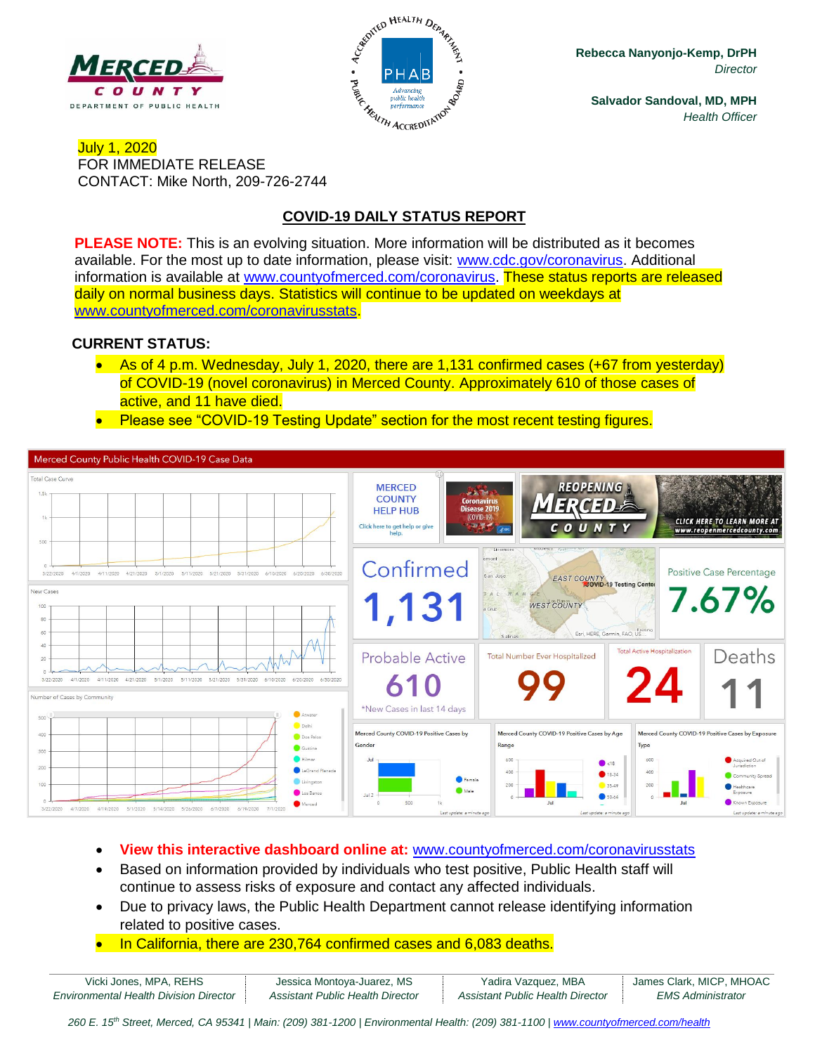



**Rebecca Nanyonjo-Kemp, DrPH** *Director*

**Salvador Sandoval, MD, MPH** *Health Officer*

### July 1, 2020 FOR IMMEDIATE RELEASE CONTACT: Mike North, 209-726-2744

# **COVID-19 DAILY STATUS REPORT**

**PLEASE NOTE:** This is an evolving situation. More information will be distributed as it becomes available. For the most up to date information, please visit: [www.cdc.gov/coronavirus.](http://www.cdc.gov/coronavirus) Additional information is available at [www.countyofmerced.com/coronavirus.](http://www.countyofmerced.com/coronavirus) These status reports are released daily on normal business days. Statistics will continue to be updated on weekdays at [www.countyofmerced.com/coronavirusstats.](http://www.countyofmerced.com/coronavirusstats)

#### **CURRENT STATUS:**

- As of 4 p.m. Wednesday, July 1, 2020, there are 1,131 confirmed cases (+67 from yesterday) of COVID-19 (novel coronavirus) in Merced County. Approximately 610 of those cases of active, and 11 have died.
- Please see "COVID-19 Testing Update" section for the most recent testing figures.



- **View this interactive dashboard online at:** [www.countyofmerced.com/coronavirusstats](http://www.countyofmerced.com/coronavirusstats)
- Based on information provided by individuals who test positive, Public Health staff will continue to assess risks of exposure and contact any affected individuals.
- Due to privacy laws, the Public Health Department cannot release identifying information related to positive cases.
- In California, there are 230,764 confirmed cases and 6,083 deaths.

| Vicki Jones, MPA, REHS                        | Jessica Montoya-Juarez, MS       | Yadira Vazquez, MBA              | James Clark, MICP, MHOAC |
|-----------------------------------------------|----------------------------------|----------------------------------|--------------------------|
| <b>Environmental Health Division Director</b> | Assistant Public Health Director | Assistant Public Health Director | <b>EMS Administrator</b> |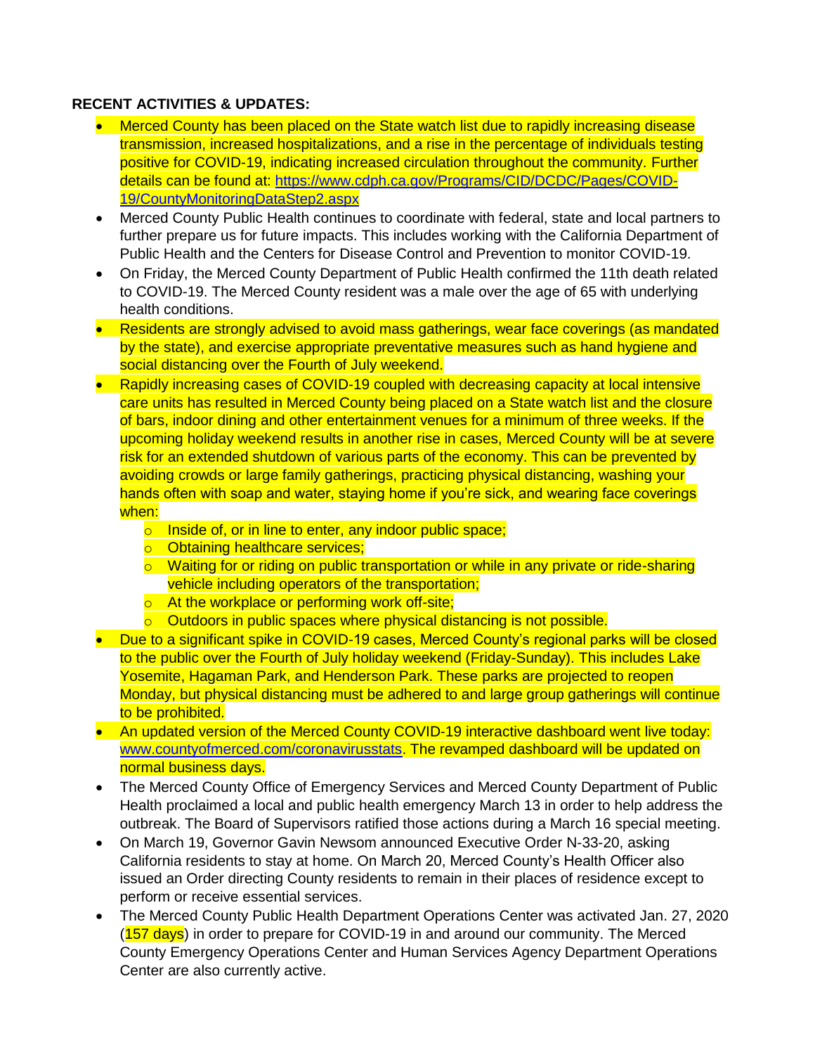#### **RECENT ACTIVITIES & UPDATES:**

- Merced County has been placed on the State watch list due to rapidly increasing disease transmission, increased hospitalizations, and a rise in the percentage of individuals testing positive for COVID-19, indicating increased circulation throughout the community. Further details can be found at: [https://www.cdph.ca.gov/Programs/CID/DCDC/Pages/COVID-](https://www.cdph.ca.gov/Programs/CID/DCDC/Pages/COVID-19/CountyMonitoringDataStep2.aspx)[19/CountyMonitoringDataStep2.aspx](https://www.cdph.ca.gov/Programs/CID/DCDC/Pages/COVID-19/CountyMonitoringDataStep2.aspx)
- Merced County Public Health continues to coordinate with federal, state and local partners to further prepare us for future impacts. This includes working with the California Department of Public Health and the Centers for Disease Control and Prevention to monitor COVID-19.
- On Friday, the Merced County Department of Public Health confirmed the 11th death related to COVID-19. The Merced County resident was a male over the age of 65 with underlying health conditions.
- Residents are strongly advised to avoid mass gatherings, wear face coverings (as mandated by the state), and exercise appropriate preventative measures such as hand hygiene and social distancing over the Fourth of July weekend.
- Rapidly increasing cases of COVID-19 coupled with decreasing capacity at local intensive care units has resulted in Merced County being placed on a State watch list and the closure of bars, indoor dining and other entertainment venues for a minimum of three weeks. If the upcoming holiday weekend results in another rise in cases, Merced County will be at severe risk for an extended shutdown of various parts of the economy. This can be prevented by avoiding crowds or large family gatherings, practicing physical distancing, washing your hands often with soap and water, staying home if you're sick, and wearing face coverings when:
	- o Inside of, or in line to enter, any indoor public space;
	- o Obtaining healthcare services;
	- $\circ$  Waiting for or riding on public transportation or while in any private or ride-sharing vehicle including operators of the transportation;
	- o At the workplace or performing work off-site;
	- o Outdoors in public spaces where physical distancing is not possible.
- Due to a significant spike in COVID-19 cases, Merced County's regional parks will be closed to the public over the Fourth of July holiday weekend (Friday-Sunday). This includes Lake Yosemite, Hagaman Park, and Henderson Park. These parks are projected to reopen Monday, but physical distancing must be adhered to and large group gatherings will continue to be prohibited.
- An updated version of the Merced County COVID-19 interactive dashboard went live today: [www.countyofmerced.com/coronavirusstats.](http://www.countyofmerced.com/coronavirusstats) The revamped dashboard will be updated on normal business days.
- The Merced County Office of Emergency Services and Merced County Department of Public Health proclaimed a local and public health emergency March 13 in order to help address the outbreak. The Board of Supervisors ratified those actions during a March 16 special meeting.
- On March 19, Governor Gavin Newsom announced Executive Order N-33-20, asking California residents to stay at home. On March 20, Merced County's Health Officer also issued an Order directing County residents to remain in their places of residence except to perform or receive essential services.
- The Merced County Public Health Department Operations Center was activated Jan. 27, 2020  $(157 \text{ days})$  in order to prepare for COVID-19 in and around our community. The Merced County Emergency Operations Center and Human Services Agency Department Operations Center are also currently active.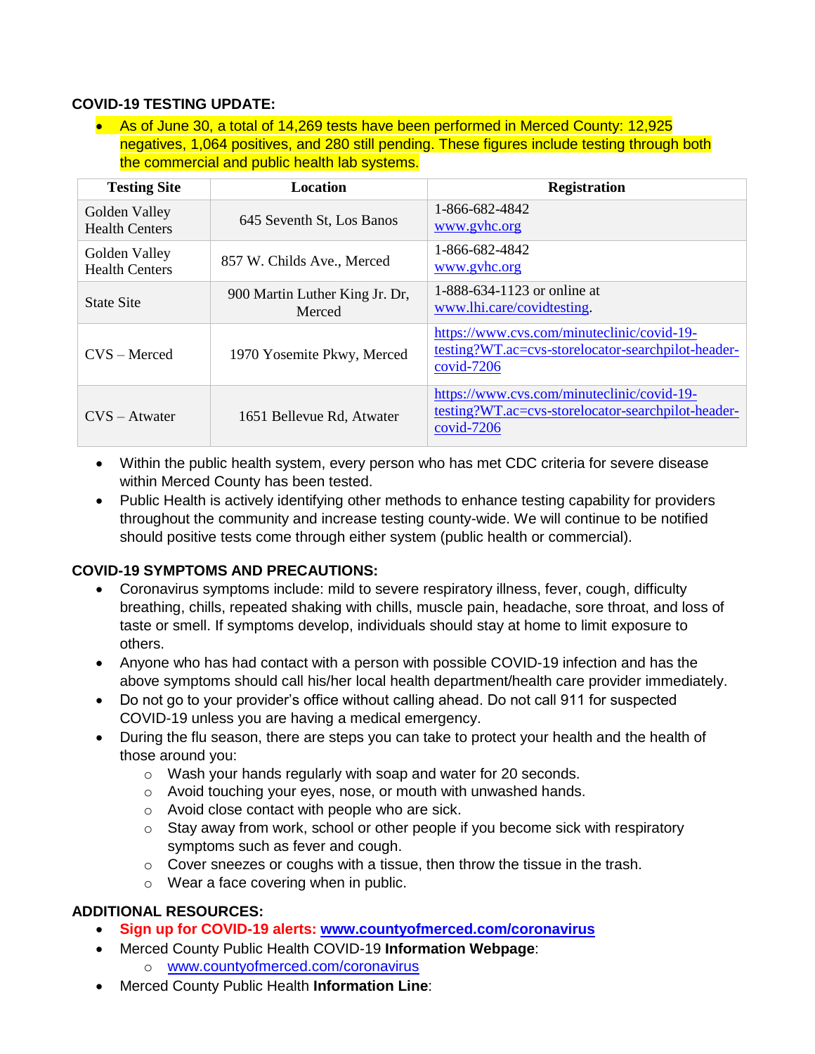### **COVID-19 TESTING UPDATE:**

• As of June 30, a total of 14,269 tests have been performed in Merced County: 12,925 negatives, 1,064 positives, and 280 still pending. These figures include testing through both the commercial and public health lab systems.

| <b>Testing Site</b>                    | <b>Location</b>                          | <b>Registration</b>                                                                                            |
|----------------------------------------|------------------------------------------|----------------------------------------------------------------------------------------------------------------|
| Golden Valley<br><b>Health Centers</b> | 645 Seventh St, Los Banos                | 1-866-682-4842<br>www.gyhc.org                                                                                 |
| Golden Valley<br><b>Health Centers</b> | 857 W. Childs Ave., Merced               | 1-866-682-4842<br>www.gyhc.org                                                                                 |
| State Site                             | 900 Martin Luther King Jr. Dr.<br>Merced | 1-888-634-1123 or online at<br>www.lhi.care/covidtesting.                                                      |
| $CVS - Mercedes$                       | 1970 Yosemite Pkwy, Merced               | https://www.cvs.com/minuteclinic/covid-19-<br>testing?WT.ac=cvs-storelocator-searchpilot-header-<br>covid-7206 |
| $CVS - Atwater$                        | 1651 Bellevue Rd, Atwater                | https://www.cvs.com/minuteclinic/covid-19-<br>testing?WT.ac=cvs-storelocator-searchpilot-header-<br>covid-7206 |

- Within the public health system, every person who has met CDC criteria for severe disease within Merced County has been tested.
- Public Health is actively identifying other methods to enhance testing capability for providers throughout the community and increase testing county-wide. We will continue to be notified should positive tests come through either system (public health or commercial).

## **COVID-19 SYMPTOMS AND PRECAUTIONS:**

- Coronavirus symptoms include: mild to severe respiratory illness, fever, cough, difficulty breathing, chills, repeated shaking with chills, muscle pain, headache, sore throat, and loss of taste or smell. If symptoms develop, individuals should stay at home to limit exposure to others.
- Anyone who has had contact with a person with possible COVID-19 infection and has the above symptoms should call his/her local health department/health care provider immediately.
- Do not go to your provider's office without calling ahead. Do not call 911 for suspected COVID-19 unless you are having a medical emergency.
- During the flu season, there are steps you can take to protect your health and the health of those around you:
	- o Wash your hands regularly with soap and water for 20 seconds.
	- o Avoid touching your eyes, nose, or mouth with unwashed hands.
	- o Avoid close contact with people who are sick.
	- o Stay away from work, school or other people if you become sick with respiratory symptoms such as fever and cough.
	- o Cover sneezes or coughs with a tissue, then throw the tissue in the trash.
	- o Wear a face covering when in public.

## **ADDITIONAL RESOURCES:**

- **Sign up for COVID-19 alerts: [www.countyofmerced.com/coronavirus](http://www.countyofmerced.com/coronavirus)**
- Merced County Public Health COVID-19 **Information Webpage**:
	- o [www.countyofmerced.com/coronavirus](http://www.countyofmerced.com/coronavirus)
- Merced County Public Health **Information Line**: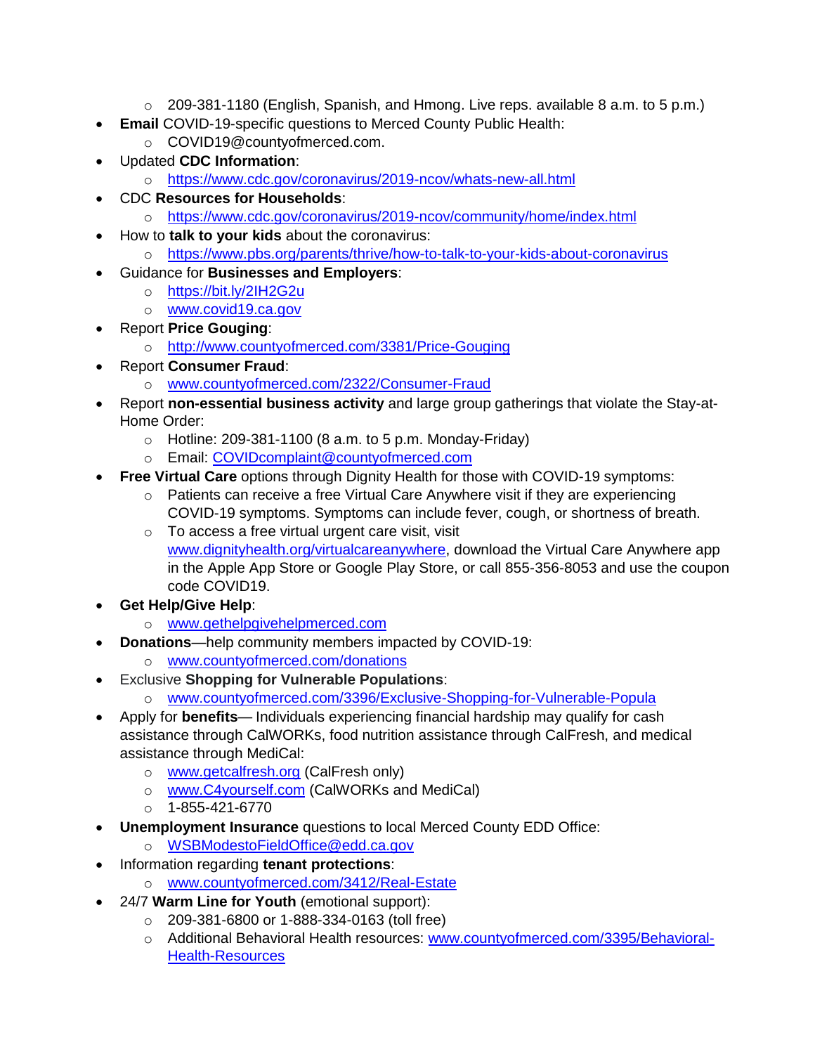- $\circ$  209-381-1180 (English, Spanish, and Hmong. Live reps. available 8 a.m. to 5 p.m.)
- **Email** COVID-19-specific questions to Merced County Public Health:
	- o COVID19@countyofmerced.com.
- Updated **CDC Information**:
	- o <https://www.cdc.gov/coronavirus/2019-ncov/whats-new-all.html>
- CDC **Resources for Households**:
	- o <https://www.cdc.gov/coronavirus/2019-ncov/community/home/index.html>
- How to **talk to your kids** about the coronavirus:
	- o <https://www.pbs.org/parents/thrive/how-to-talk-to-your-kids-about-coronavirus>
- Guidance for **Businesses and Employers**:
	- o <https://bit.ly/2IH2G2u>
	- o [www.covid19.ca.gov](http://www.covid19.ca.gov/)
- Report **Price Gouging**:
	- o <http://www.countyofmerced.com/3381/Price-Gouging>
- Report **Consumer Fraud**:
	- o [www.countyofmerced.com/2322/Consumer-Fraud](http://www.countyofmerced.com/2322/Consumer-Fraud)
- Report **non-essential business activity** and large group gatherings that violate the Stay-at-Home Order:
	- $\circ$  Hotline: 209-381-1100 (8 a.m. to 5 p.m. Monday-Friday)
	- o Email: [COVIDcomplaint@countyofmerced.com](mailto:COVIDcomplaint@countyofmerced.com)
	- **Free Virtual Care** options through Dignity Health for those with COVID-19 symptoms:
		- o Patients can receive a free Virtual Care Anywhere visit if they are experiencing COVID-19 symptoms. Symptoms can include fever, cough, or shortness of breath.
		- o To access a free virtual urgent care visit, visit [www.dignityhealth.org/virtualcareanywhere,](http://www.dignityhealth.org/virtualcareanywhere) download the Virtual Care Anywhere app in the Apple App Store or Google Play Store, or call 855-356-8053 and use the coupon code COVID19.
- **Get Help/Give Help**:
	- o [www.gethelpgivehelpmerced.com](http://www.gethelpgivehelpmerced.com/)
- **Donations**—help community members impacted by COVID-19:
	- o [www.countyofmerced.com/donations](http://www.countyofmerced.com/donations)
- **Exclusive Shopping for Vulnerable Populations:** 
	- o [www.countyofmerced.com/3396/Exclusive-Shopping-for-Vulnerable-Popula](http://www.countyofmerced.com/3396/Exclusive-Shopping-for-Vulnerable-Popula)
- Apply for **benefits** Individuals experiencing financial hardship may qualify for cash assistance through CalWORKs, food nutrition assistance through CalFresh, and medical assistance through MediCal:
	- o [www.getcalfresh.org](http://www.getcalfresh.org/) (CalFresh only)
	- o [www.C4yourself.com](http://www.c4yourself.com/) (CalWORKs and MediCal)
	- o 1-855-421-6770
- **Unemployment Insurance** questions to local Merced County EDD Office:
	- o [WSBModestoFieldOffice@edd.ca.gov](mailto:WSBModestoFieldOffice@edd.ca.gov)
- Information regarding **tenant protections**:
	- o [www.countyofmerced.com/3412/Real-Estate](http://www.countyofmerced.com/3412/Real-Estate)
- 24/7 **Warm Line for Youth** (emotional support):
	- o 209-381-6800 or 1-888-334-0163 (toll free)
	- o Additional Behavioral Health resources: [www.countyofmerced.com/3395/Behavioral-](http://www.countyofmerced.com/3395/Behavioral-Health-Resources)[Health-Resources](http://www.countyofmerced.com/3395/Behavioral-Health-Resources)